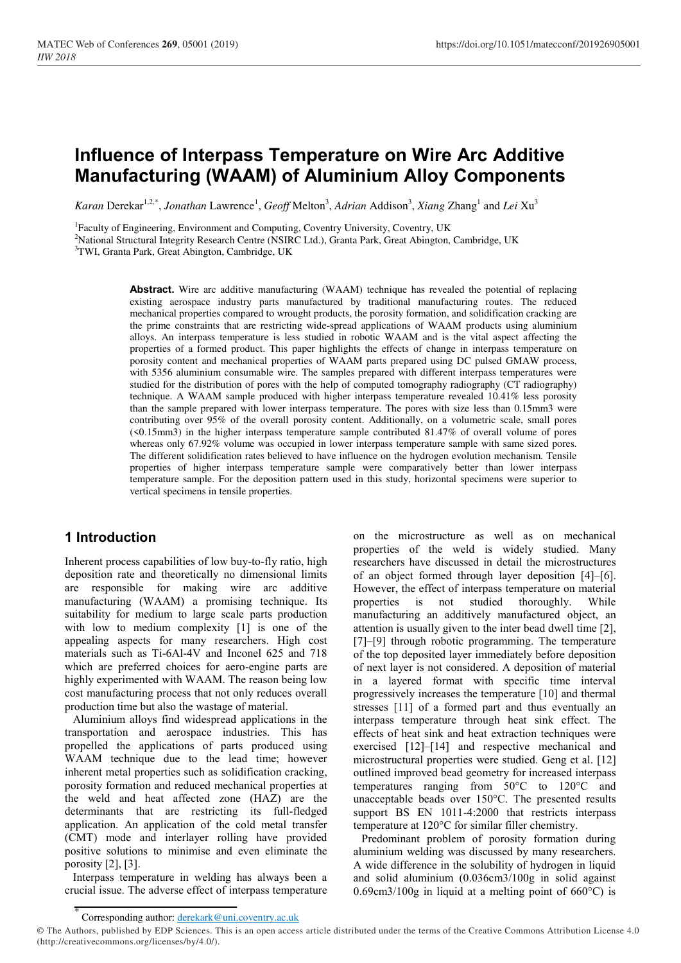# **Influence of Interpass Temperature on Wire Arc Additive Manufacturing (WAAM) of Aluminium Alloy Components**

*Karan* Derekar<sup>1,2,\*</sup>, *Jonathan* Lawrence<sup>1</sup>, *Geoff* Melton<sup>3</sup>, *Adrian* Addison<sup>3</sup>, *Xiang Zhang*<sup>1</sup> and *Lei* Xu<sup>3</sup>

1 Faculty of Engineering, Environment and Computing, Coventry University, Coventry, UK

<sup>2</sup>National Structural Integrity Research Centre (NSIRC Ltd.), Granta Park, Great Abington, Cambridge, UK

<sup>3</sup>TWI, Granta Park, Great Abington, Cambridge, UK

**Abstract.** Wire arc additive manufacturing (WAAM) technique has revealed the potential of replacing existing aerospace industry parts manufactured by traditional manufacturing routes. The reduced mechanical properties compared to wrought products, the porosity formation, and solidification cracking are the prime constraints that are restricting wide-spread applications of WAAM products using aluminium alloys. An interpass temperature is less studied in robotic WAAM and is the vital aspect affecting the properties of a formed product. This paper highlights the effects of change in interpass temperature on porosity content and mechanical properties of WAAM parts prepared using DC pulsed GMAW process, with 5356 aluminium consumable wire. The samples prepared with different interpass temperatures were studied for the distribution of pores with the help of computed tomography radiography (CT radiography) technique. A WAAM sample produced with higher interpass temperature revealed 10.41% less porosity than the sample prepared with lower interpass temperature. The pores with size less than 0.15mm3 were contributing over 95% of the overall porosity content. Additionally, on a volumetric scale, small pores (<0.15mm3) in the higher interpass temperature sample contributed 81.47% of overall volume of pores whereas only 67.92% volume was occupied in lower interpass temperature sample with same sized pores. The different solidification rates believed to have influence on the hydrogen evolution mechanism. Tensile properties of higher interpass temperature sample were comparatively better than lower interpass temperature sample. For the deposition pattern used in this study, horizontal specimens were superior to vertical specimens in tensile properties.

## **1 Introduction**

Inherent process capabilities of low buy-to-fly ratio, high deposition rate and theoretically no dimensional limits are responsible for making wire arc additive manufacturing (WAAM) a promising technique. Its suitability for medium to large scale parts production with low to medium complexity [1] is one of the appealing aspects for many researchers. High cost materials such as Ti-6Al-4V and Inconel 625 and 718 which are preferred choices for aero-engine parts are highly experimented with WAAM. The reason being low cost manufacturing process that not only reduces overall production time but also the wastage of material.

Aluminium alloys find widespread applications in the transportation and aerospace industries. This has propelled the applications of parts produced using WAAM technique due to the lead time; however inherent metal properties such as solidification cracking, porosity formation and reduced mechanical properties at the weld and heat affected zone (HAZ) are the determinants that are restricting its full-fledged application. An application of the cold metal transfer (CMT) mode and interlayer rolling have provided positive solutions to minimise and even eliminate the porosity [2], [3].

Interpass temperature in welding has always been a crucial issue. The adverse effect of interpass temperature on the microstructure as well as on mechanical properties of the weld is widely studied. Many researchers have discussed in detail the microstructures of an object formed through layer deposition [4]–[6]. However, the effect of interpass temperature on material properties is not studied thoroughly. While manufacturing an additively manufactured object, an attention is usually given to the inter bead dwell time [2], [7]–[9] through robotic programming. The temperature of the top deposited layer immediately before deposition of next layer is not considered. A deposition of material in a layered format with specific time interval progressively increases the temperature [10] and thermal stresses [11] of a formed part and thus eventually an interpass temperature through heat sink effect. The effects of heat sink and heat extraction techniques were exercised [12]–[14] and respective mechanical and microstructural properties were studied. Geng et al. [12] outlined improved bead geometry for increased interpass temperatures ranging from 50°C to 120°C and unacceptable beads over 150°C. The presented results support BS EN 1011-4:2000 that restricts interpass temperature at 120°C for similar filler chemistry.

Predominant problem of porosity formation during aluminium welding was discussed by many researchers. A wide difference in the solubility of hydrogen in liquid and solid aluminium (0.036cm3/100g in solid against 0.69cm3/100g in liquid at a melting point of 660 $\degree$ C) is

<sup>\*</sup> Corresponding author: derekark@uni.coventry.ac.uk

<sup>©</sup> The Authors, published by EDP Sciences. This is an open access article distributed under the terms of the Creative Commons Attribution License 4.0 (http://creativecommons.org/licenses/by/4.0/).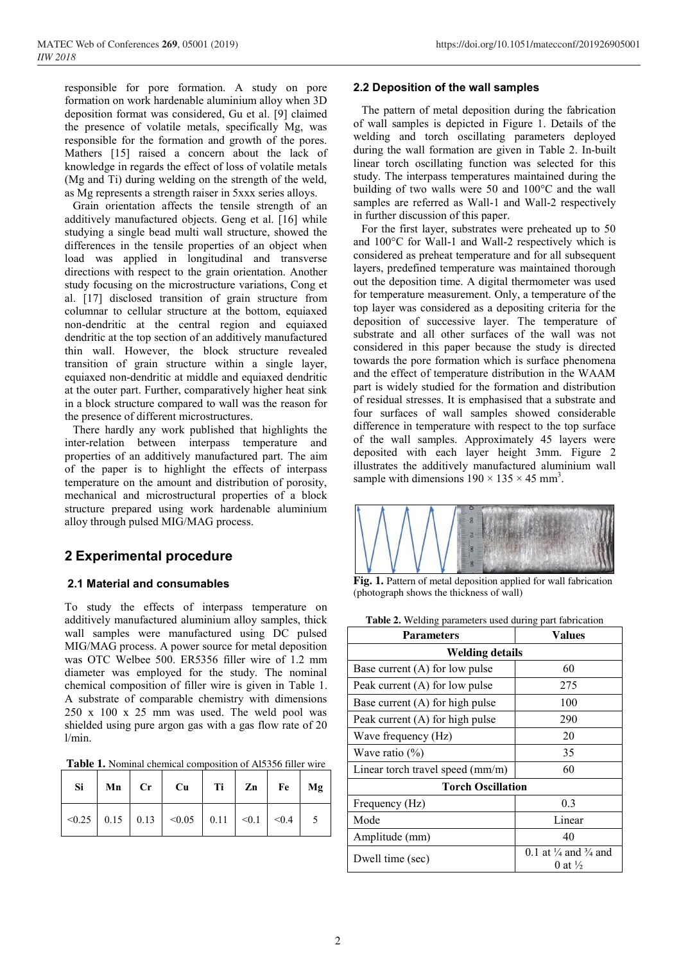responsible for pore formation. A study on pore formation on work hardenable aluminium alloy when 3D deposition format was considered, Gu et al. [9] claimed the presence of volatile metals, specifically Mg, was responsible for the formation and growth of the pores. Mathers [15] raised a concern about the lack of knowledge in regards the effect of loss of volatile metals (Mg and Ti) during welding on the strength of the weld, as Mg represents a strength raiser in 5xxx series alloys.

Grain orientation affects the tensile strength of an additively manufactured objects. Geng et al. [16] while studying a single bead multi wall structure, showed the differences in the tensile properties of an object when load was applied in longitudinal and transverse directions with respect to the grain orientation. Another study focusing on the microstructure variations, Cong et al. [17] disclosed transition of grain structure from columnar to cellular structure at the bottom, equiaxed non-dendritic at the central region and equiaxed dendritic at the top section of an additively manufactured thin wall. However, the block structure revealed transition of grain structure within a single layer, equiaxed non-dendritic at middle and equiaxed dendritic at the outer part. Further, comparatively higher heat sink in a block structure compared to wall was the reason for the presence of different microstructures.

There hardly any work published that highlights the inter-relation between interpass temperature and properties of an additively manufactured part. The aim of the paper is to highlight the effects of interpass temperature on the amount and distribution of porosity, mechanical and microstructural properties of a block structure prepared using work hardenable aluminium alloy through pulsed MIG/MAG process.

## **2 Experimental procedure**

## **2.1 Material and consumables**

To study the effects of interpass temperature on additively manufactured aluminium alloy samples, thick wall samples were manufactured using DC pulsed MIG/MAG process. A power source for metal deposition was OTC Welbee 500. ER5356 filler wire of 1.2 mm diameter was employed for the study. The nominal chemical composition of filler wire is given in Table 1. A substrate of comparable chemistry with dimensions 250 x 100 x 25 mm was used. The weld pool was shielded using pure argon gas with a gas flow rate of 20 l/min.

| <b>Table 1.</b> Nominal chemical composition of A15356 filler wire |  |  |  |  |
|--------------------------------------------------------------------|--|--|--|--|
|                                                                    |  |  |  |  |

| Si. |  | $Mn$ Cr Cu Ti Zn Fe Mg                                                             |  |  |
|-----|--|------------------------------------------------------------------------------------|--|--|
|     |  | $\langle 0.25   0.15   0.13   \langle 0.05   0.11   \langle 0.1   0.4   5 \rangle$ |  |  |

#### **2.2 Deposition of the wall samples**

The pattern of metal deposition during the fabrication of wall samples is depicted in Figure 1. Details of the welding and torch oscillating parameters deployed during the wall formation are given in Table 2. In-built linear torch oscillating function was selected for this study. The interpass temperatures maintained during the building of two walls were 50 and 100°C and the wall samples are referred as Wall-1 and Wall-2 respectively in further discussion of this paper.

For the first layer, substrates were preheated up to 50 and 100°C for Wall-1 and Wall-2 respectively which is considered as preheat temperature and for all subsequent layers, predefined temperature was maintained thorough out the deposition time. A digital thermometer was used for temperature measurement. Only, a temperature of the top layer was considered as a depositing criteria for the deposition of successive layer. The temperature of substrate and all other surfaces of the wall was not considered in this paper because the study is directed towards the pore formation which is surface phenomena and the effect of temperature distribution in the WAAM part is widely studied for the formation and distribution of residual stresses. It is emphasised that a substrate and four surfaces of wall samples showed considerable difference in temperature with respect to the top surface of the wall samples. Approximately 45 layers were deposited with each layer height 3mm. Figure 2 illustrates the additively manufactured aluminium wall sample with dimensions  $190 \times 135 \times 45$  mm<sup>3</sup>.



Fig. 1. Pattern of metal deposition applied for wall fabrication (photograph shows the thickness of wall)

|  |  |  | Table 2. Welding parameters used during part fabrication |
|--|--|--|----------------------------------------------------------|
|  |  |  |                                                          |

| <b>Parameters</b>                         | Values                                                           |  |  |  |  |
|-------------------------------------------|------------------------------------------------------------------|--|--|--|--|
| <b>Welding details</b>                    |                                                                  |  |  |  |  |
| Base current $(A)$ for low pulse          | 60                                                               |  |  |  |  |
| Peak current (A) for low pulse            | 275                                                              |  |  |  |  |
| Base current (A) for high pulse           | 100                                                              |  |  |  |  |
| Peak current (A) for high pulse           | 290                                                              |  |  |  |  |
| Wave frequency (Hz)                       | 20                                                               |  |  |  |  |
| Wave ratio $(\%)$                         | 35                                                               |  |  |  |  |
| Linear torch travel speed $\text{(mm/m)}$ | 60                                                               |  |  |  |  |
| <b>Torch Oscillation</b>                  |                                                                  |  |  |  |  |
| Frequency (Hz)                            | 0.3                                                              |  |  |  |  |
| Mode                                      | Linear                                                           |  |  |  |  |
| Amplitude (mm)                            | 40                                                               |  |  |  |  |
| Dwell time (sec)                          | 0.1 at $\frac{1}{4}$ and $\frac{3}{4}$ and<br>0 at $\frac{1}{2}$ |  |  |  |  |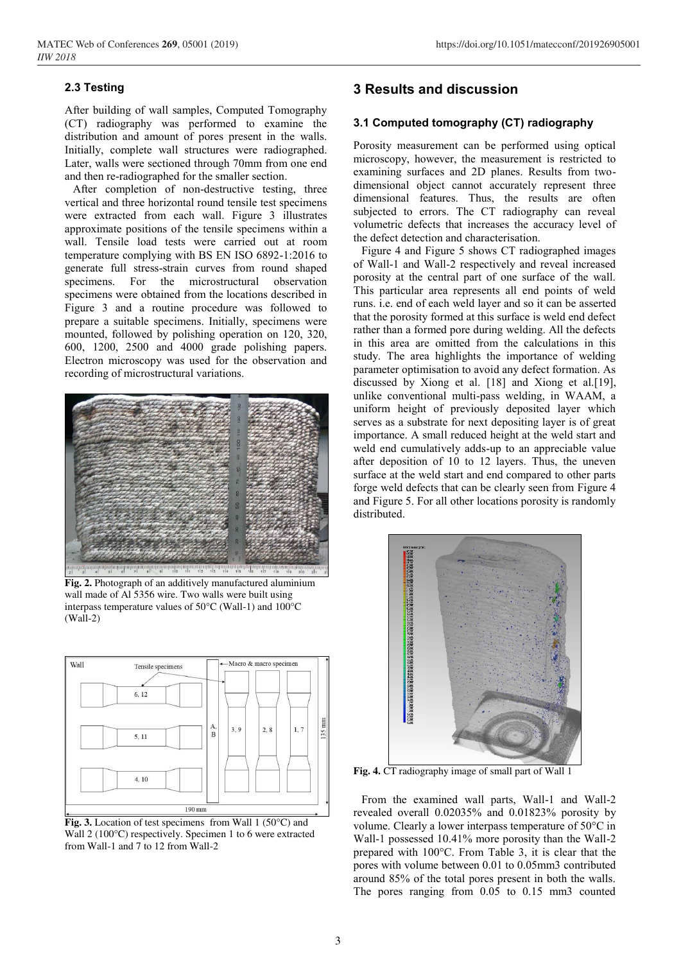#### **2.3 Testing**

After building of wall samples, Computed Tomography (CT) radiography was performed to examine the distribution and amount of pores present in the walls. Initially, complete wall structures were radiographed. Later, walls were sectioned through 70mm from one end and then re-radiographed for the smaller section.

After completion of non-destructive testing, three vertical and three horizontal round tensile test specimens were extracted from each wall. Figure 3 illustrates approximate positions of the tensile specimens within a wall. Tensile load tests were carried out at room temperature complying with BS EN ISO 6892-1:2016 to generate full stress-strain curves from round shaped specimens. For the microstructural observation specimens were obtained from the locations described in Figure 3 and a routine procedure was followed to prepare a suitable specimens. Initially, specimens were mounted, followed by polishing operation on 120, 320, 600, 1200, 2500 and 4000 grade polishing papers. Electron microscopy was used for the observation and recording of microstructural variations.



**Fig. 2.** Photograph of an additively manufactured aluminium wall made of Al 5356 wire. Two walls were built using interpass temperature values of 50°C (Wall-1) and 100°C (Wall-2)



Fig. 3. Location of test specimens from Wall 1 (50°C) and Wall 2 (100°C) respectively. Specimen 1 to 6 were extracted from Wall-1 and 7 to 12 from Wall-2

## **3 Results and discussion**

#### **3.1 Computed tomography (CT) radiography**

Porosity measurement can be performed using optical microscopy, however, the measurement is restricted to examining surfaces and 2D planes. Results from twodimensional object cannot accurately represent three dimensional features. Thus, the results are often subjected to errors. The CT radiography can reveal volumetric defects that increases the accuracy level of the defect detection and characterisation.

Figure 4 and Figure 5 shows CT radiographed images of Wall-1 and Wall-2 respectively and reveal increased porosity at the central part of one surface of the wall. This particular area represents all end points of weld runs. i.e. end of each weld layer and so it can be asserted that the porosity formed at this surface is weld end defect rather than a formed pore during welding. All the defects in this area are omitted from the calculations in this study. The area highlights the importance of welding parameter optimisation to avoid any defect formation. As discussed by Xiong et al. [18] and Xiong et al.[19], unlike conventional multi-pass welding, in WAAM, a uniform height of previously deposited layer which serves as a substrate for next depositing layer is of great importance. A small reduced height at the weld start and weld end cumulatively adds-up to an appreciable value after deposition of 10 to 12 layers. Thus, the uneven surface at the weld start and end compared to other parts forge weld defects that can be clearly seen from Figure 4 and Figure 5. For all other locations porosity is randomly distributed.



**Fig. 4.** CT radiography image of small part of Wall 1

From the examined wall parts, Wall-1 and Wall-2 revealed overall 0.02035% and 0.01823% porosity by volume. Clearly a lower interpass temperature of 50°C in Wall-1 possessed 10.41% more porosity than the Wall-2 prepared with 100°C. From Table 3, it is clear that the pores with volume between 0.01 to 0.05mm3 contributed around 85% of the total pores present in both the walls. The pores ranging from 0.05 to 0.15 mm3 counted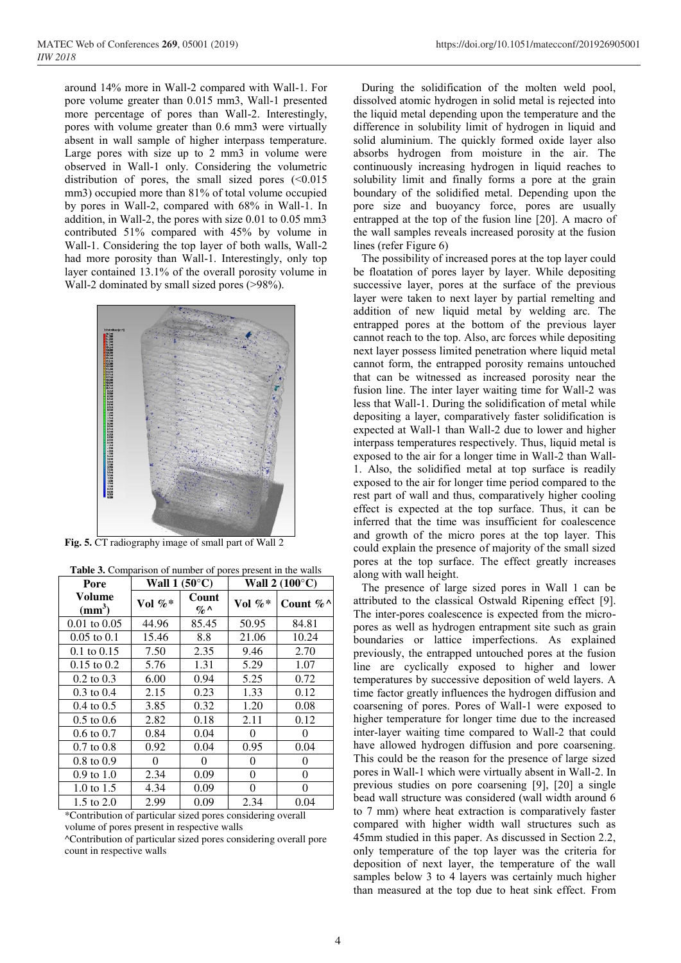around 14% more in Wall-2 compared with Wall-1. For pore volume greater than 0.015 mm3, Wall-1 presented more percentage of pores than Wall-2. Interestingly, pores with volume greater than 0.6 mm3 were virtually absent in wall sample of higher interpass temperature. Large pores with size up to 2 mm3 in volume were observed in Wall-1 only. Considering the volumetric distribution of pores, the small sized pores  $\leq 0.015$ mm3) occupied more than 81% of total volume occupied by pores in Wall-2, compared with 68% in Wall-1. In addition, in Wall-2, the pores with size 0.01 to 0.05 mm3 contributed 51% compared with 45% by volume in Wall-1. Considering the top layer of both walls, Wall-2 had more porosity than Wall-1. Interestingly, only top layer contained 13.1% of the overall porosity volume in Wall-2 dominated by small sized pores (>98%).



**Fig. 5.** CT radiography image of small part of Wall 2

| Pore                    |           | Wall $1(50^{\circ}C)$<br>Wall $2(100^{\circ}C)$ |           |            |
|-------------------------|-----------|-------------------------------------------------|-----------|------------|
| Volume<br>$\text{mm}^3$ | Vol $\%*$ | Count<br>$\phi_0$ ^                             | Vol $\%*$ | Count $\%$ |
| $0.01$ to $0.05$        | 44.96     | 85.45                                           | 50.95     | 84.81      |
| $0.05$ to $0.1$         | 15.46     | 8.8                                             | 21.06     | 10.24      |
| $0.1$ to $0.15$         | 7.50      | 2.35                                            | 9.46      | 2.70       |
| $0.15$ to $0.2$         | 5.76      | 1.31                                            | 5.29      | 1.07       |
| $0.2 \text{ to } 0.3$   | 6.00      | 0.94                                            | 5.25      | 0.72       |
| $0.3 \text{ to } 0.4$   | 2.15      | 0.23                                            | 1.33      | 0.12       |
| $0.4 \text{ to } 0.5$   | 3.85      | 0.32                                            | 1.20      | 0.08       |
| $0.5 \text{ to } 0.6$   | 2.82      | 0.18                                            | 2.11      | 0.12       |
| $0.6 \text{ to } 0.7$   | 0.84      | 0.04                                            | 0         | 0          |
| $0.7$ to $0.8$          | 0.92      | 0.04                                            | 0.95      | 0.04       |
| $0.8 \text{ to } 0.9$   | 0         | 0                                               | 0         | 0          |
| $0.9$ to $1.0$          | 2.34      | 0.09                                            | 0         | 0          |
| 1.0 to $1.5$            | 4.34      | 0.09                                            | $\theta$  | 0          |
| 1.5 to $2.0$            | 2.99      | 0.09                                            | 2.34      | 0.04       |

\*Contribution of particular sized pores considering overall volume of pores present in respective walls

^Contribution of particular sized pores considering overall pore count in respective walls

During the solidification of the molten weld pool, dissolved atomic hydrogen in solid metal is rejected into the liquid metal depending upon the temperature and the difference in solubility limit of hydrogen in liquid and solid aluminium. The quickly formed oxide layer also absorbs hydrogen from moisture in the air. The continuously increasing hydrogen in liquid reaches to solubility limit and finally forms a pore at the grain boundary of the solidified metal. Depending upon the pore size and buoyancy force, pores are usually entrapped at the top of the fusion line [20]. A macro of the wall samples reveals increased porosity at the fusion lines (refer Figure 6)

The possibility of increased pores at the top layer could be floatation of pores layer by layer. While depositing successive layer, pores at the surface of the previous layer were taken to next layer by partial remelting and addition of new liquid metal by welding arc. The entrapped pores at the bottom of the previous layer cannot reach to the top. Also, arc forces while depositing next layer possess limited penetration where liquid metal cannot form, the entrapped porosity remains untouched that can be witnessed as increased porosity near the fusion line. The inter layer waiting time for Wall-2 was less that Wall-1. During the solidification of metal while depositing a layer, comparatively faster solidification is expected at Wall-1 than Wall-2 due to lower and higher interpass temperatures respectively. Thus, liquid metal is exposed to the air for a longer time in Wall-2 than Wall-1. Also, the solidified metal at top surface is readily exposed to the air for longer time period compared to the rest part of wall and thus, comparatively higher cooling effect is expected at the top surface. Thus, it can be inferred that the time was insufficient for coalescence and growth of the micro pores at the top layer. This could explain the presence of majority of the small sized pores at the top surface. The effect greatly increases along with wall height.

The presence of large sized pores in Wall 1 can be attributed to the classical Ostwald Ripening effect [9]. The inter-pores coalescence is expected from the micropores as well as hydrogen entrapment site such as grain boundaries or lattice imperfections. As explained previously, the entrapped untouched pores at the fusion line are cyclically exposed to higher and lower temperatures by successive deposition of weld layers. A time factor greatly influences the hydrogen diffusion and coarsening of pores. Pores of Wall-1 were exposed to higher temperature for longer time due to the increased inter-layer waiting time compared to Wall-2 that could have allowed hydrogen diffusion and pore coarsening. This could be the reason for the presence of large sized pores in Wall-1 which were virtually absent in Wall-2. In previous studies on pore coarsening [9], [20] a single bead wall structure was considered (wall width around 6 to 7 mm) where heat extraction is comparatively faster compared with higher width wall structures such as 45mm studied in this paper. As discussed in Section 2.2, only temperature of the top layer was the criteria for deposition of next layer, the temperature of the wall samples below 3 to 4 layers was certainly much higher than measured at the top due to heat sink effect. From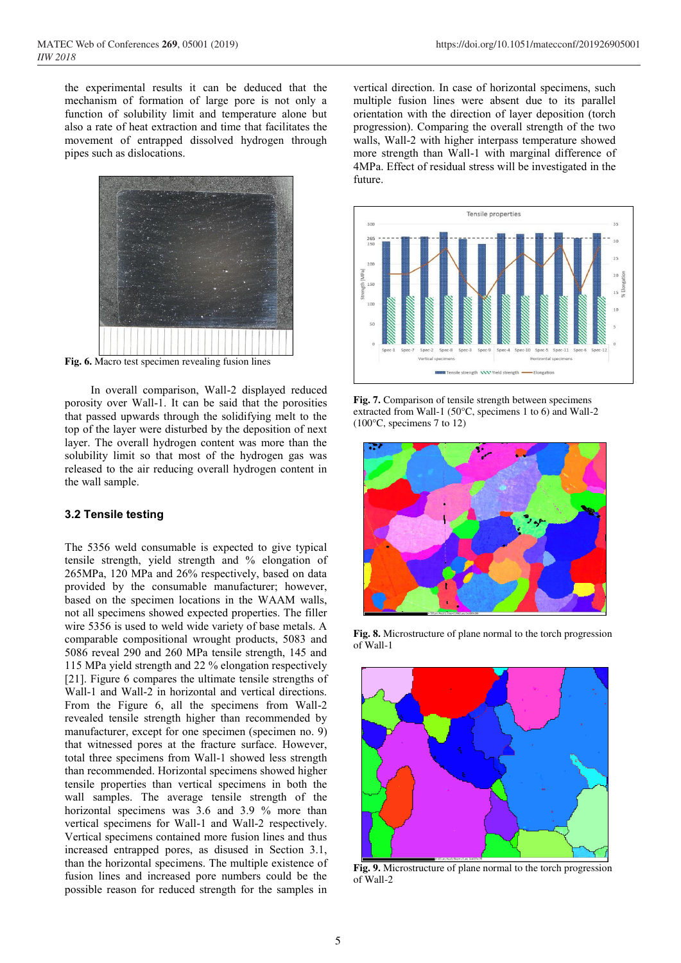the experimental results it can be deduced that the mechanism of formation of large pore is not only a function of solubility limit and temperature alone but also a rate of heat extraction and time that facilitates the movement of entrapped dissolved hydrogen through pipes such as dislocations.



**Fig. 6.** Macro test specimen revealing fusion lines

In overall comparison, Wall-2 displayed reduced porosity over Wall-1. It can be said that the porosities that passed upwards through the solidifying melt to the top of the layer were disturbed by the deposition of next layer. The overall hydrogen content was more than the solubility limit so that most of the hydrogen gas was released to the air reducing overall hydrogen content in the wall sample.

#### **3.2 Tensile testing**

The 5356 weld consumable is expected to give typical tensile strength, yield strength and % elongation of 265MPa, 120 MPa and 26% respectively, based on data provided by the consumable manufacturer; however, based on the specimen locations in the WAAM walls, not all specimens showed expected properties. The filler wire 5356 is used to weld wide variety of base metals. A comparable compositional wrought products, 5083 and 5086 reveal 290 and 260 MPa tensile strength, 145 and 115 MPa yield strength and 22 % elongation respectively [21]. Figure 6 compares the ultimate tensile strengths of Wall-1 and Wall-2 in horizontal and vertical directions. From the Figure 6, all the specimens from Wall-2 revealed tensile strength higher than recommended by manufacturer, except for one specimen (specimen no. 9) that witnessed pores at the fracture surface. However, total three specimens from Wall-1 showed less strength than recommended. Horizontal specimens showed higher tensile properties than vertical specimens in both the wall samples. The average tensile strength of the horizontal specimens was 3.6 and 3.9 % more than vertical specimens for Wall-1 and Wall-2 respectively. Vertical specimens contained more fusion lines and thus increased entrapped pores, as disused in Section 3.1, than the horizontal specimens. The multiple existence of fusion lines and increased pore numbers could be the possible reason for reduced strength for the samples in

vertical direction. In case of horizontal specimens, such multiple fusion lines were absent due to its parallel orientation with the direction of layer deposition (torch progression). Comparing the overall strength of the two walls, Wall-2 with higher interpass temperature showed more strength than Wall-1 with marginal difference of 4MPa. Effect of residual stress will be investigated in the future.



**Fig. 7.** Comparison of tensile strength between specimens extracted from Wall-1 (50°C, specimens 1 to 6) and Wall-2 (100°C, specimens 7 to 12)



**Fig. 8.** Microstructure of plane normal to the torch progression of Wall-1



**Fig. 9.** Microstructure of plane normal to the torch progression of Wall-2